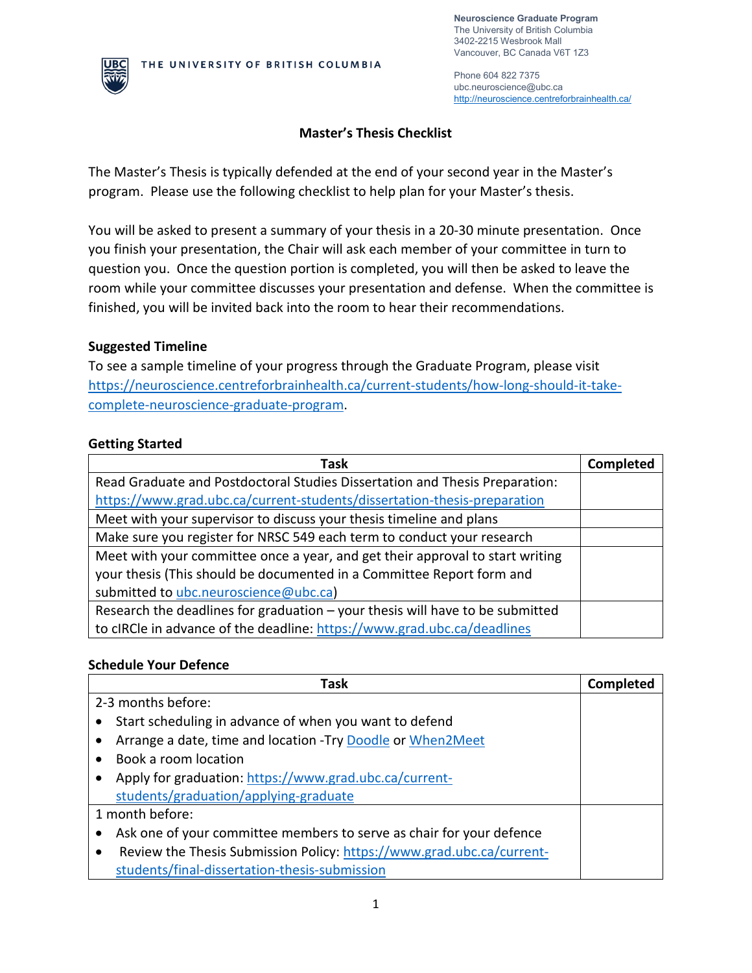**Neuroscience Graduate Program** The University of British Columbia 3402-2215 Wesbrook Mall Vancouver, BC Canada V6T 1Z3



Phone 604 822 7375 ubc.neuroscience@ubc.ca <http://neuroscience.centreforbrainhealth.ca/>

## **Master's Thesis Checklist**

The Master's Thesis is typically defended at the end of your second year in the Master's program. Please use the following checklist to help plan for your Master's thesis.

You will be asked to present a summary of your thesis in a 20-30 minute presentation. Once you finish your presentation, the Chair will ask each member of your committee in turn to question you. Once the question portion is completed, you will then be asked to leave the room while your committee discusses your presentation and defense. When the committee is finished, you will be invited back into the room to hear their recommendations.

#### **Suggested Timeline**

To see a sample timeline of your progress through the Graduate Program, please visit [https://neuroscience.centreforbrainhealth.ca/current-students/how-long-should-it-take](https://neuroscience.centreforbrainhealth.ca/current-students/how-long-should-it-take-complete-neuroscience-graduate-program)[complete-neuroscience-graduate-program.](https://neuroscience.centreforbrainhealth.ca/current-students/how-long-should-it-take-complete-neuroscience-graduate-program)

### **Getting Started**

| Task                                                                          | <b>Completed</b> |
|-------------------------------------------------------------------------------|------------------|
| Read Graduate and Postdoctoral Studies Dissertation and Thesis Preparation:   |                  |
| https://www.grad.ubc.ca/current-students/dissertation-thesis-preparation      |                  |
| Meet with your supervisor to discuss your thesis timeline and plans           |                  |
| Make sure you register for NRSC 549 each term to conduct your research        |                  |
| Meet with your committee once a year, and get their approval to start writing |                  |
| your thesis (This should be documented in a Committee Report form and         |                  |
| submitted to ubc.neuroscience@ubc.ca)                                         |                  |
| Research the deadlines for graduation - your thesis will have to be submitted |                  |
| to cIRCle in advance of the deadline: https://www.grad.ubc.ca/deadlines       |                  |

#### **Schedule Your Defence**

|                                       | Task                                                                  | <b>Completed</b> |
|---------------------------------------|-----------------------------------------------------------------------|------------------|
| 2-3 months before:                    |                                                                       |                  |
|                                       | Start scheduling in advance of when you want to defend                |                  |
|                                       | Arrange a date, time and location - Try Doodle or When2Meet           |                  |
| Book a room location                  |                                                                       |                  |
|                                       | Apply for graduation: https://www.grad.ubc.ca/current-                |                  |
| students/graduation/applying-graduate |                                                                       |                  |
| 1 month before:                       |                                                                       |                  |
|                                       | Ask one of your committee members to serve as chair for your defence  |                  |
|                                       | Review the Thesis Submission Policy: https://www.grad.ubc.ca/current- |                  |
|                                       | students/final-dissertation-thesis-submission                         |                  |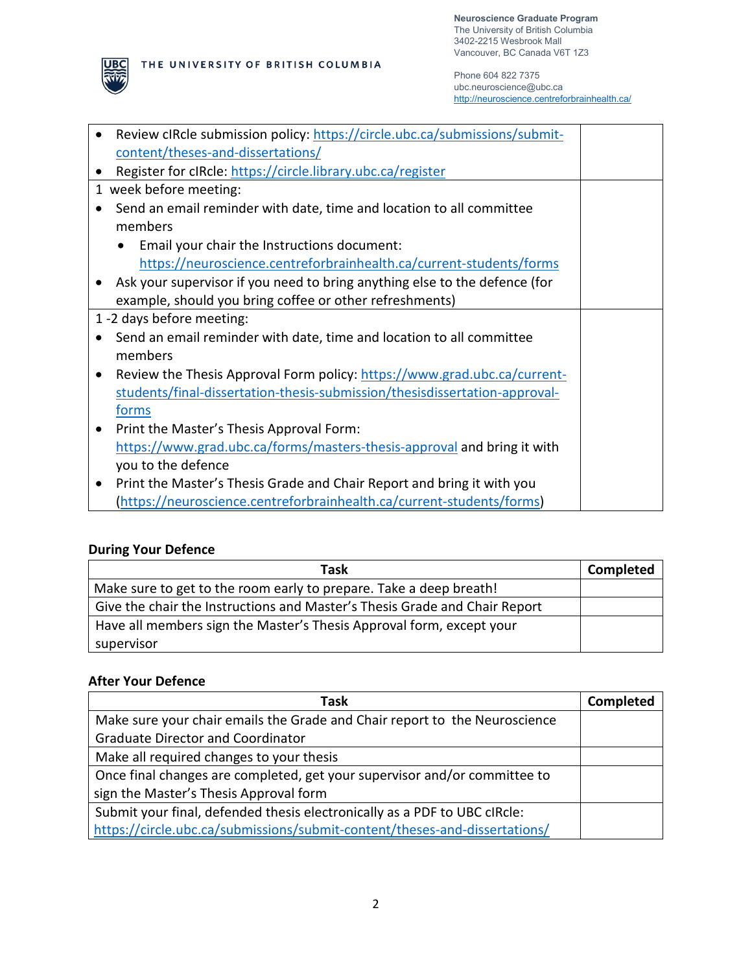

Phone 604 822 7375 ubc.neuroscience@ubc.ca <http://neuroscience.centreforbrainhealth.ca/>

| $\bullet$ | Review cIRcle submission policy: https://circle.ubc.ca/submissions/submit- |  |
|-----------|----------------------------------------------------------------------------|--|
|           | content/theses-and-dissertations/                                          |  |
| $\bullet$ | Register for cIRcle: https://circle.library.ubc.ca/register                |  |
|           | 1 week before meeting:                                                     |  |
|           | Send an email reminder with date, time and location to all committee       |  |
|           | members                                                                    |  |
|           | Email your chair the Instructions document:                                |  |
|           | https://neuroscience.centreforbrainhealth.ca/current-students/forms        |  |
|           | Ask your supervisor if you need to bring anything else to the defence (for |  |
|           | example, should you bring coffee or other refreshments)                    |  |
|           | 1 -2 days before meeting:                                                  |  |
|           | Send an email reminder with date, time and location to all committee       |  |
|           | members                                                                    |  |
|           | Review the Thesis Approval Form policy: https://www.grad.ubc.ca/current-   |  |
|           | students/final-dissertation-thesis-submission/thesisdissertation-approval- |  |
|           | forms                                                                      |  |
| $\bullet$ | Print the Master's Thesis Approval Form:                                   |  |
|           | https://www.grad.ubc.ca/forms/masters-thesis-approval and bring it with    |  |
|           | you to the defence                                                         |  |
| $\bullet$ | Print the Master's Thesis Grade and Chair Report and bring it with you     |  |
|           | (https://neuroscience.centreforbrainhealth.ca/current-students/forms)      |  |

# **During Your Defence**

**UBC** 

| Task                                                                       | <b>Completed</b> |
|----------------------------------------------------------------------------|------------------|
| Make sure to get to the room early to prepare. Take a deep breath!         |                  |
| Give the chair the Instructions and Master's Thesis Grade and Chair Report |                  |
| Have all members sign the Master's Thesis Approval form, except your       |                  |
| supervisor                                                                 |                  |

## **After Your Defence**

| Task                                                                       | Completed |
|----------------------------------------------------------------------------|-----------|
| Make sure your chair emails the Grade and Chair report to the Neuroscience |           |
| <b>Graduate Director and Coordinator</b>                                   |           |
| Make all required changes to your thesis                                   |           |
| Once final changes are completed, get your supervisor and/or committee to  |           |
| sign the Master's Thesis Approval form                                     |           |
| Submit your final, defended thesis electronically as a PDF to UBC cIRcle:  |           |
| https://circle.ubc.ca/submissions/submit-content/theses-and-dissertations/ |           |